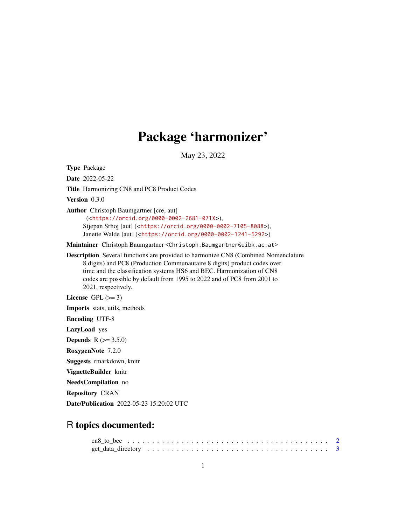## Package 'harmonizer'

May 23, 2022

Type Package Date 2022-05-22 Title Harmonizing CN8 and PC8 Product Codes Version 0.3.0 Author Christoph Baumgartner [cre, aut] (<<https://orcid.org/0000-0002-2681-071X>>), Stjepan Srhoj [aut] (<<https://orcid.org/0000-0002-7105-8088>>), Janette Walde [aut] (<<https://orcid.org/0000-0002-1241-5292>>) Maintainer Christoph Baumgartner <Christoph.Baumgartner@uibk.ac.at> Description Several functions are provided to harmonize CN8 (Combined Nomenclature 8 digits) and PC8 (Production Communautaire 8 digits) product codes over time and the classification systems HS6 and BEC. Harmonization of CN8 codes are possible by default from 1995 to 2022 and of PC8 from 2001 to 2021, respectively. License GPL  $(>= 3)$ Imports stats, utils, methods Encoding UTF-8 LazyLoad yes **Depends** R  $(>= 3.5.0)$ RoxygenNote 7.2.0 Suggests rmarkdown, knitr VignetteBuilder knitr NeedsCompilation no Repository CRAN Date/Publication 2022-05-23 15:20:02 UTC

### R topics documented: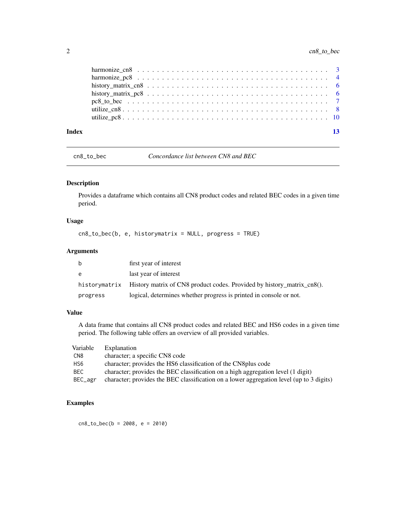<span id="page-1-0"></span>

| Index | 13 |
|-------|----|

cn8\_to\_bec *Concordance list between CN8 and BEC*

#### Description

Provides a dataframe which contains all CN8 product codes and related BEC codes in a given time period.

#### Usage

cn8\_to\_bec(b, e, historymatrix = NULL, progress = TRUE)

#### Arguments

| b        | first year of interest                                                               |
|----------|--------------------------------------------------------------------------------------|
| e        | last year of interest                                                                |
|          | historymatrix History matrix of CN8 product codes. Provided by history matrix cn8(). |
| progress | logical, determines whether progress is printed in console or not.                   |

#### Value

A data frame that contains all CN8 product codes and related BEC and HS6 codes in a given time period. The following table offers an overview of all provided variables.

| Variable | Explanation                                                                              |
|----------|------------------------------------------------------------------------------------------|
| CN8      | character; a specific CN8 code                                                           |
| HS6      | character; provides the HS6 classification of the CN8 plus code                          |
| BEC      | character; provides the BEC classification on a high aggregation level (1 digit)         |
| BEC_agr  | character; provides the BEC classification on a lower aggregation level (up to 3 digits) |

#### Examples

cn8\_to\_bec(b = 2008, e = 2010)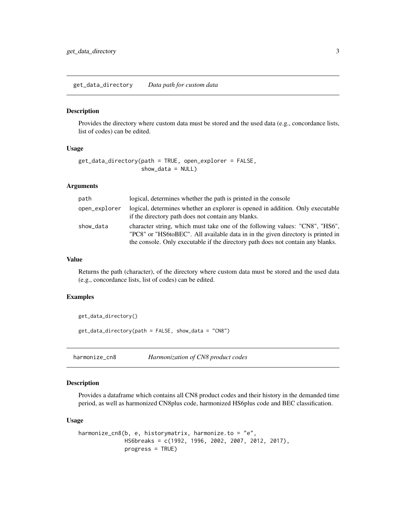<span id="page-2-0"></span>get\_data\_directory *Data path for custom data*

#### Description

Provides the directory where custom data must be stored and the used data (e.g., concordance lists, list of codes) can be edited.

#### Usage

```
get_data_directory(path = TRUE, open_explorer = FALSE,
                   show_data = NULL)
```
#### Arguments

| path          | logical, determines whether the path is printed in the console                                                                                                                                                                                     |
|---------------|----------------------------------------------------------------------------------------------------------------------------------------------------------------------------------------------------------------------------------------------------|
| open_explorer | logical, determines whether an explorer is opened in addition. Only executable<br>if the directory path does not contain any blanks.                                                                                                               |
| show_data     | character string, which must take one of the following values: "CN8", "HS6",<br>"PC8" or "HS6toBEC". All available data in in the given directory is printed in<br>the console. Only executable if the directory path does not contain any blanks. |

#### Value

Returns the path (character), of the directory where custom data must be stored and the used data (e.g., concordance lists, list of codes) can be edited.

#### Examples

get\_data\_directory()

get\_data\_directory(path = FALSE, show\_data = "CN8")

harmonize\_cn8 *Harmonization of CN8 product codes*

#### Description

Provides a dataframe which contains all CN8 product codes and their history in the demanded time period, as well as harmonized CN8plus code, harmonized HS6plus code and BEC classification.

#### Usage

```
harmonize_cn8(b, e, historymatrix, harmonize.to = "e",
             HS6breaks = c(1992, 1996, 2002, 2007, 2012, 2017),
             progress = TRUE)
```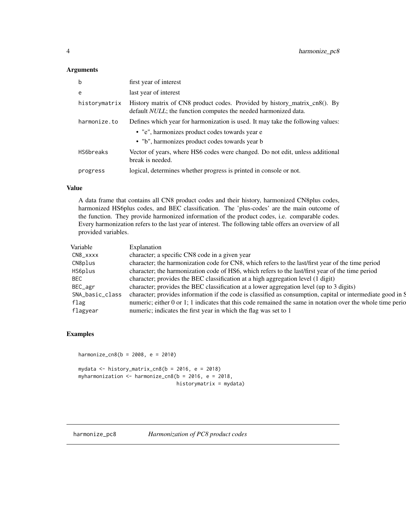#### <span id="page-3-0"></span>Arguments

| $\mathbf b$   | first year of interest                                                                                                                       |
|---------------|----------------------------------------------------------------------------------------------------------------------------------------------|
| e             | last year of interest                                                                                                                        |
| historymatrix | History matrix of CN8 product codes. Provided by history_matrix_cn8(). By<br>default NULL; the function computes the needed harmonized data. |
| harmonize.to  | Defines which year for harmonization is used. It may take the following values:                                                              |
|               | • "e", harmonizes product codes towards year e<br>• "b", harmonizes product codes towards year b                                             |
| HS6breaks     | Vector of years, where HS6 codes were changed. Do not edit, unless additional<br>break is needed.                                            |
| progress      | logical, determines whether progress is printed in console or not.                                                                           |

#### Value

A data frame that contains all CN8 product codes and their history, harmonized CN8plus codes, harmonized HS6plus codes, and BEC classification. The 'plus-codes' are the main outcome of the function. They provide harmonized information of the product codes, i.e. comparable codes. Every harmonization refers to the last year of interest. The following table offers an overview of all provided variables.

| Variable        | Explanation                                                                                                 |
|-----------------|-------------------------------------------------------------------------------------------------------------|
| CN8_xxxx        | character; a specific CN8 code in a given year                                                              |
| CN8plus         | character; the harmonization code for CN8, which refers to the last/first year of the time period           |
| HS6plus         | character; the harmonization code of HS6, which refers to the last/first year of the time period            |
| <b>BEC</b>      | character; provides the BEC classification at a high aggregation level (1 digit)                            |
| BEC_agr         | character; provides the BEC classification at a lower aggregation level (up to 3 digits)                    |
| SNA_basic_class | character; provides information if the code is classified as consumption, capital or intermediate good in S |
| flag            | numeric; either 0 or 1; 1 indicates that this code remained the same in notation over the whole time period |
| flagyear        | numeric; indicates the first year in which the flag was set to 1                                            |

#### Examples

harmonize\_cn8(b = 2008, e = 2010)

mydata  $\le$  history\_matrix\_cn8(b = 2016, e = 2018) myharmonization  $\leq$  harmonize\_cn8(b = 2016, e = 2018, historymatrix = mydata)

harmonize\_pc8 *Harmonization of PC8 product codes*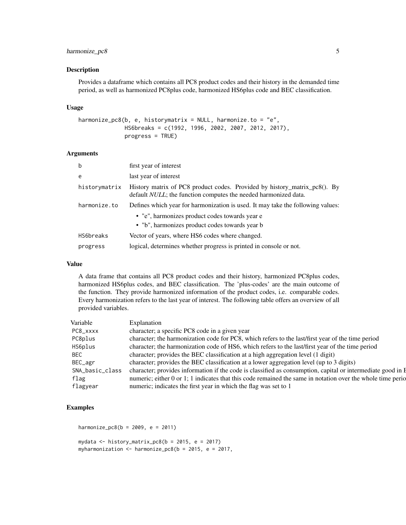#### harmonize\_pc8 5

#### Description

Provides a dataframe which contains all PC8 product codes and their history in the demanded time period, as well as harmonized PC8plus code, harmonized HS6plus code and BEC classification.

#### Usage

```
harmonize_pc8(b, e, historymatrix = NULL, harmonize.to = "e",HS6breaks = c(1992, 1996, 2002, 2007, 2012, 2017),
             progress = TRUE)
```
#### Arguments

| $\mathbf b$   | first year of interest                                                                                                                       |
|---------------|----------------------------------------------------------------------------------------------------------------------------------------------|
| e             | last year of interest                                                                                                                        |
| historymatrix | History matrix of PC8 product codes. Provided by history_matrix_pc8(). By<br>default NULL; the function computes the needed harmonized data. |
| harmonize.to  | Defines which year for harmonization is used. It may take the following values:                                                              |
|               | • "e", harmonizes product codes towards year e                                                                                               |
|               | • "b", harmonizes product codes towards year b                                                                                               |
| HS6breaks     | Vector of years, where HS6 codes where changed.                                                                                              |
| progress      | logical, determines whether progress is printed in console or not.                                                                           |

#### Value

A data frame that contains all PC8 product codes and their history, harmonized PC8plus codes, harmonized HS6plus codes, and BEC classification. The 'plus-codes' are the main outcome of the function. They provide harmonized information of the product codes, i.e. comparable codes. Every harmonization refers to the last year of interest. The following table offers an overview of all provided variables.

#### Examples

```
harmonize_pc8(b = 2009, e = 2011)
```

```
mydata \le history_matrix_pc8(b = 2015, e = 2017)
myharmonization \leq harmonize_pc8(b = 2015, e = 2017,
```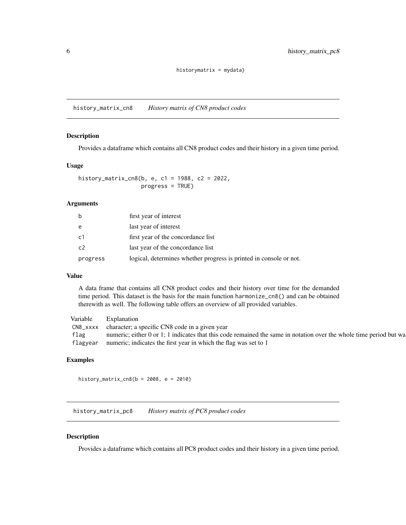#### historymatrix = mydata)

<span id="page-5-0"></span>history\_matrix\_cn8 *History matrix of CN8 product codes*

#### Description

Provides a dataframe which contains all CN8 product codes and their history in a given time period.

#### Usage

history\_matrix\_cn8(b, e, c1 = 1988, c2 = 2022, progress = TRUE)

#### Arguments

| b        | first year of interest                                             |
|----------|--------------------------------------------------------------------|
| e        | last year of interest                                              |
| c1       | first year of the concordance list                                 |
| c2       | last year of the concordance list                                  |
| progress | logical, determines whether progress is printed in console or not. |

#### Value

A data frame that contains all CN8 product codes and their history over time for the demanded time period. This dataset is the basis for the main function harmonize\_cn8() and can be obtained therewith as well. The following table offers an overview of all provided variables.

| Variable | Explanation                                                                                                        |
|----------|--------------------------------------------------------------------------------------------------------------------|
| CN8_xxxx | character; a specific CN8 code in a given year                                                                     |
| flag     | numeric; either 0 or 1; 1 indicates that this code remained the same in notation over the whole time period but wa |
| flagyear | numeric; indicates the first year in which the flag was set to 1                                                   |

#### Examples

history\_matrix\_cn8(b = 2008, e = 2010)

history\_matrix\_pc8 *History matrix of PC8 product codes*

#### Description

Provides a dataframe which contains all PC8 product codes and their history in a given time period.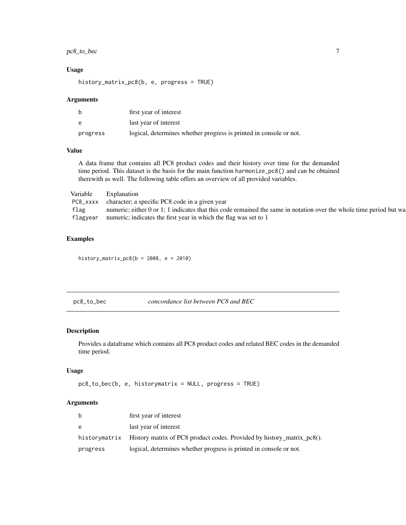#### <span id="page-6-0"></span>pc8\_to\_bec 7

#### Usage

history\_matrix\_pc8(b, e, progress = TRUE)

#### Arguments

| b        | first year of interest                                             |
|----------|--------------------------------------------------------------------|
| e        | last year of interest                                              |
| progress | logical, determines whether progress is printed in console or not. |

#### Value

A data frame that contains all PC8 product codes and their history over time for the demanded time period. This dataset is the basis for the main function harmonize\_pc8() and can be obtained therewith as well. The following table offers an overview of all provided variables.

| Variable | Explanation                                                                                                        |
|----------|--------------------------------------------------------------------------------------------------------------------|
|          | PC8_xxxx character; a specific PC8 code in a given year                                                            |
| flag     | numeric; either 0 or 1; 1 indicates that this code remained the same in notation over the whole time period but wa |
| flagyear | numeric; indicates the first year in which the flag was set to 1                                                   |

#### Examples

history\_matrix\_pc8( $b = 2008$ ,  $e = 2010$ )

pc8\_to\_bec *concordance list between PC8 and BEC*

#### Description

Provides a dataframe which contains all PC8 product codes and related BEC codes in the demanded time period.

#### Usage

```
pc8_to_bec(b, e, historymatrix = NULL, progress = TRUE)
```
#### Arguments

| b        | first year of interest                                                               |
|----------|--------------------------------------------------------------------------------------|
| e        | last year of interest                                                                |
|          | historymatrix History matrix of PC8 product codes. Provided by history_matrix_pc8(). |
| progress | logical, determines whether progress is printed in console or not.                   |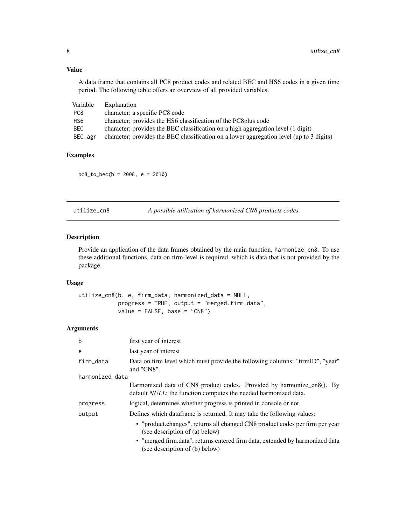#### Value

A data frame that contains all PC8 product codes and related BEC and HS6 codes in a given time period. The following table offers an overview of all provided variables.

| Variable | Explanation                                                                              |
|----------|------------------------------------------------------------------------------------------|
| PC8      | character; a specific PC8 code                                                           |
| HS6      | character; provides the HS6 classification of the PC8 plus code                          |
| BEC      | character; provides the BEC classification on a high aggregation level (1 digit)         |
| BEC_agr  | character; provides the BEC classification on a lower aggregation level (up to 3 digits) |

#### Examples

pc8\_to\_bec(b = 2008, e = 2010)

A possible utilization of harmonized CN8 products codes

#### Description

Provide an application of the data frames obtained by the main function, harmonize\_cn8. To use these additional functions, data on firm-level is required, which is data that is not provided by the package.

#### Usage

utilize\_cn8(b, e, firm\_data, harmonized\_data = NULL, progress = TRUE, output = "merged.firm.data",  $value = FALSE, base = "CNS")$ 

#### Arguments

| b               | first year of interest                                                                                                                           |  |
|-----------------|--------------------------------------------------------------------------------------------------------------------------------------------------|--|
| e               | last year of interest                                                                                                                            |  |
| firm_data       | Data on firm level which must provide the following columns: "firmID", "year"<br>and "CN8".                                                      |  |
| harmonized_data |                                                                                                                                                  |  |
|                 | Harmonized data of CN8 product codes. Provided by harmonize_cn8(). By<br>default <i>NULL</i> ; the function computes the needed harmonized data. |  |
| progress        | logical, determines whether progress is printed in console or not.                                                                               |  |
| output          | Defines which dataframe is returned. It may take the following values:                                                                           |  |
|                 | • "product.changes", returns all changed CN8 product codes per firm per year<br>(see description of (a) below)                                   |  |
|                 | • "merged.firm.data", returns entered firm data, extended by harmonized data<br>(see description of (b) below)                                   |  |

<span id="page-7-0"></span>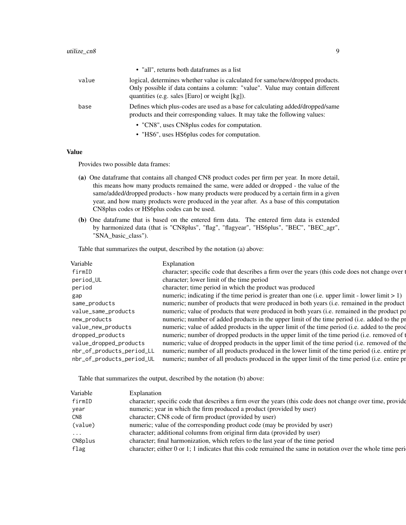|       | • "all", returns both dataframes as a list                                                                                                                                                                        |
|-------|-------------------------------------------------------------------------------------------------------------------------------------------------------------------------------------------------------------------|
| value | logical, determines whether value is calculated for same/new/dropped products.<br>Only possible if data contains a column: "value". Value may contain different<br>quantities (e.g. sales [Euro] or weight [kg]). |
| base  | Defines which plus-codes are used as a base for calculating added/dropped/same<br>products and their corresponding values. It may take the following values:                                                      |
|       | • "CN8", uses CN8 plus codes for computation.                                                                                                                                                                     |
|       | • "HS6", uses HS6plus codes for computation.                                                                                                                                                                      |

#### Value

Provides two possible data frames:

- (a) One dataframe that contains all changed CN8 product codes per firm per year. In more detail, this means how many products remained the same, were added or dropped - the value of the same/added/dropped products - how many products were produced by a certain firm in a given year, and how many products were produced in the year after. As a base of this computation CN8plus codes or HS6plus codes can be used.
- (b) One dataframe that is based on the entered firm data. The entered firm data is extended by harmonized data (that is "CN8plus", "flag", "flagyear", "HS6plus", "BEC", "BEC\_agr", "SNA\_basic\_class").

Table that summarizes the output, described by the notation (a) above:

| Variable                  | Explanation                                                                                        |
|---------------------------|----------------------------------------------------------------------------------------------------|
| firmID                    | character; specific code that describes a firm over the years (this code does not change over t    |
| period_UL                 | character; lower limit of the time period                                                          |
| period                    | character; time period in which the product was produced                                           |
| gap                       | numeric; indicating if the time period is greater than one (i.e. upper limit - lower limit $> 1$ ) |
| same_products             | numeric; number of products that were produced in both years (i.e. remained in the product         |
| value_same_products       | numeric; value of products that were produced in both years (i.e. remained in the product po       |
| new_products              | numeric; number of added products in the upper limit of the time period (i.e. added to the pr      |
| value_new_products        | numeric; value of added products in the upper limit of the time period (i.e. added to the prod     |
| dropped_products          | numeric; number of dropped products in the upper limit of the time period (i.e. removed of t       |
| value_dropped_products    | numeric; value of dropped products in the upper limit of the time period (i.e. removed of the      |
| nbr_of_products_period_LL | numeric; number of all products produced in the lower limit of the time period (i.e. entire pr     |
| nbr_of_products_period_UL | numeric; number of all products produced in the upper limit of the time period (i.e. entire pr     |
|                           |                                                                                                    |

Table that summarizes the output, described by the notation (b) above:

|                                                                                                              | Variable<br>Explanation |
|--------------------------------------------------------------------------------------------------------------|-------------------------|
| character; specific code that describes a firm over the years (this code does not change over time, provide  | firmID                  |
| numeric; year in which the firm produced a product (provided by user)                                        | year                    |
| character; CN8 code of firm product (provided by user)                                                       | CN8                     |
| numeric; value of the corresponding product code (may be provided by user)                                   | (value)                 |
| character; additional columns from original firm data (provided by user)                                     | $\cdots$                |
| character; final harmonization, which refers to the last year of the time period                             | CN8plus                 |
| character; either 0 or 1; 1 indicates that this code remained the same in notation over the whole time peri- | flag                    |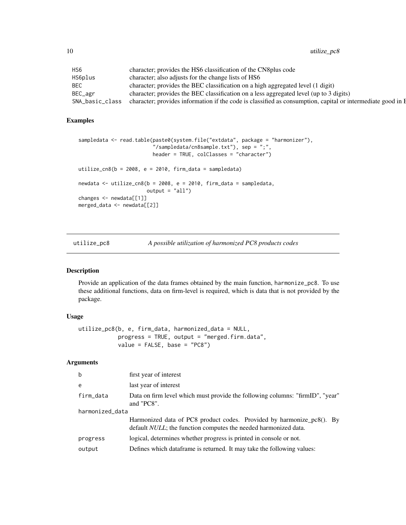<span id="page-9-0"></span>10 utilize\_pc8

| HS6             | character; provides the HS6 classification of the CN8 plus code                                             |
|-----------------|-------------------------------------------------------------------------------------------------------------|
| HS6plus         | character; also adjusts for the change lists of HS6                                                         |
| BEC             | character; provides the BEC classification on a high aggregated level (1 digit)                             |
| $BEC\_{agr}$    | character; provides the BEC classification on a less aggregated level (up to 3 digits)                      |
| SNA_basic_class | character; provides information if the code is classified as consumption, capital or intermediate good in H |

#### Examples

```
sampledata <- read.table(paste0(system.file("extdata", package = "harmonizer"),
                         "/sampledata/cn8sample.txt"), sep = ";",
                        header = TRUE, colClasses = "character")
utilize_cn8(b = 2008, e = 2010, firm_data = sampledata)
newdata <- utilize_cn8(b = 2008, e = 2010, firm_data = sampledata,
                       output = "all")changes <- newdata[[1]]
merged_data <- newdata[[2]]
```
utilize\_pc8 *A possible utilization of harmonized PC8 products codes*

#### Description

Provide an application of the data frames obtained by the main function, harmonize\_pc8. To use these additional functions, data on firm-level is required, which is data that is not provided by the package.

#### Usage

```
utilize_pc8(b, e, firm_data, harmonized_data = NULL,
            progress = TRUE, output = "merged.firm.data",
            value = FALSE, base = "PC8")
```
#### Arguments

| first year of interest                                                                                                                           |
|--------------------------------------------------------------------------------------------------------------------------------------------------|
| last year of interest                                                                                                                            |
| Data on firm level which must provide the following columns: "firmID", "year"<br>and "PC8".                                                      |
| harmonized_data                                                                                                                                  |
| Harmonized data of PC8 product codes. Provided by harmonize_pc8(). By<br>default <i>NULL</i> ; the function computes the needed harmonized data. |
| logical, determines whether progress is printed in console or not.                                                                               |
| Defines which dataframe is returned. It may take the following values:                                                                           |
|                                                                                                                                                  |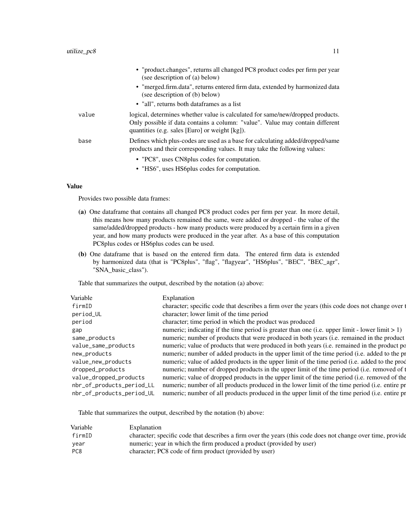|       | • "product.changes", returns all changed PC8 product codes per firm per year<br>(see description of (a) below)                                                                                                    |
|-------|-------------------------------------------------------------------------------------------------------------------------------------------------------------------------------------------------------------------|
|       | • "merged.firm.data", returns entered firm data, extended by harmonized data<br>(see description of (b) below)                                                                                                    |
|       | • "all", returns both dataframes as a list                                                                                                                                                                        |
| value | logical, determines whether value is calculated for same/new/dropped products.<br>Only possible if data contains a column: "value". Value may contain different<br>quantities (e.g. sales [Euro] or weight [kg]). |
| base  | Defines which plus-codes are used as a base for calculating added/dropped/same<br>products and their corresponding values. It may take the following values:                                                      |
|       | • "PC8", uses CN8 plus codes for computation.                                                                                                                                                                     |
|       | • "HS6", uses HS6 plus codes for computation.                                                                                                                                                                     |

#### Value

Provides two possible data frames:

- (a) One dataframe that contains all changed PC8 product codes per firm per year. In more detail, this means how many products remained the same, were added or dropped - the value of the same/added/dropped products - how many products were produced by a certain firm in a given year, and how many products were produced in the year after. As a base of this computation PC8plus codes or HS6plus codes can be used.
- (b) One dataframe that is based on the entered firm data. The entered firm data is extended by harmonized data (that is "PC8plus", "flag", "flagyear", "HS6plus", "BEC", "BEC\_agr", "SNA\_basic\_class").

Table that summarizes the output, described by the notation (a) above:

| Variable                  | Explanation                                                                                        |
|---------------------------|----------------------------------------------------------------------------------------------------|
| firmID                    | character; specific code that describes a firm over the years (this code does not change over t    |
| period_UL                 | character; lower limit of the time period                                                          |
| period                    | character; time period in which the product was produced                                           |
| gap                       | numeric; indicating if the time period is greater than one (i.e. upper limit - lower limit $> 1$ ) |
| same_products             | numeric; number of products that were produced in both years (i.e. remained in the product         |
| value_same_products       | numeric; value of products that were produced in both years (i.e. remained in the product po       |
| new_products              | numeric; number of added products in the upper limit of the time period (i.e. added to the pr      |
| value_new_products        | numeric; value of added products in the upper limit of the time period (i.e. added to the prod     |
| dropped_products          | numeric; number of dropped products in the upper limit of the time period (i.e. removed of t       |
| value_dropped_products    | numeric; value of dropped products in the upper limit of the time period (i.e. removed of the      |
| nbr_of_products_period_LL | numeric; number of all products produced in the lower limit of the time period (i.e. entire pr     |
| nbr_of_products_period_UL | numeric; number of all products produced in the upper limit of the time period (i.e. entire pr     |

Table that summarizes the output, described by the notation (b) above:

| Explanation                                                                                                 |
|-------------------------------------------------------------------------------------------------------------|
| character; specific code that describes a firm over the years (this code does not change over time, provide |
| numeric; year in which the firm produced a product (provided by user)                                       |
| character; PC8 code of firm product (provided by user)                                                      |
|                                                                                                             |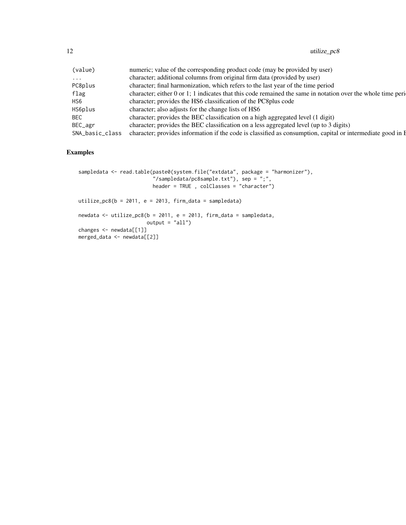| (value)         | numeric; value of the corresponding product code (may be provided by user)                                   |
|-----------------|--------------------------------------------------------------------------------------------------------------|
| $\cdot$         | character; additional columns from original firm data (provided by user)                                     |
| PC8plus         | character; final harmonization, which refers to the last year of the time period                             |
| flag            | character; either 0 or 1; 1 indicates that this code remained the same in notation over the whole time peri- |
| HS <sub>6</sub> | character; provides the HS6 classification of the PC8plus code                                               |
| HS6plus         | character; also adjusts for the change lists of HS6                                                          |
| <b>BEC</b>      | character; provides the BEC classification on a high aggregated level (1 digit)                              |
| BEC_agr         | character; provides the BEC classification on a less aggregated level (up to 3 digits)                       |
| SNA_basic_class | character; provides information if the code is classified as consumption, capital or intermediate good in E  |
|                 |                                                                                                              |

#### Examples

```
sampledata <- read.table(paste0(system.file("extdata", package = "harmonizer"),
                         "/sampledata/pc8sample.txt"), sep = ";",
                         header = TRUE , colClasses = "character")
utilize_pc8(b = 2011, e = 2013, firm_data = sampledata)
newdata <- utilize_pc8(b = 2011, e = 2013, firm_data = sampledata,
                      output = "all")changes <- newdata[[1]]
merged_data <- newdata[[2]]
```